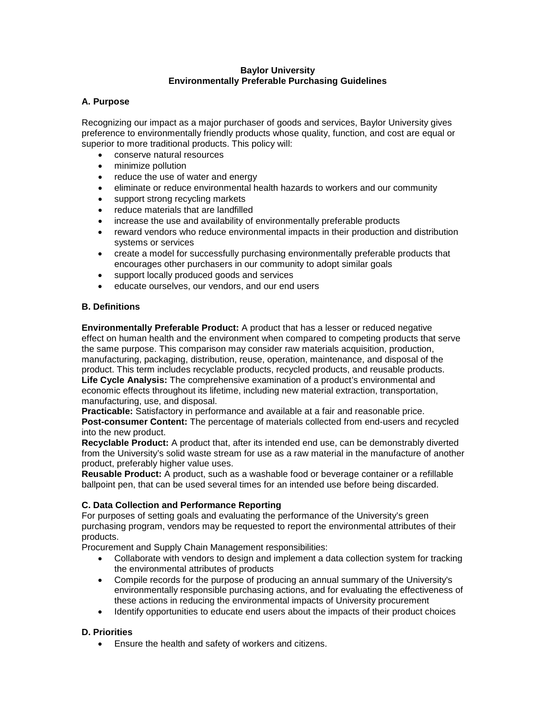#### **Baylor University Environmentally Preferable Purchasing Guidelines**

# **A. Purpose**

Recognizing our impact as a major purchaser of goods and services, Baylor University gives preference to environmentally friendly products whose quality, function, and cost are equal or superior to more traditional products. This policy will:

- conserve natural resources
- minimize pollution
- reduce the use of water and energy
- eliminate or reduce environmental health hazards to workers and our community
- support strong recycling markets
- reduce materials that are landfilled
- increase the use and availability of environmentally preferable products
- reward vendors who reduce environmental impacts in their production and distribution systems or services
- create a model for successfully purchasing environmentally preferable products that encourages other purchasers in our community to adopt similar goals
- support locally produced goods and services
- educate ourselves, our vendors, and our end users

# **B. Definitions**

**Environmentally Preferable Product:** A product that has a lesser or reduced negative effect on human health and the environment when compared to competing products that serve the same purpose. This comparison may consider raw materials acquisition, production, manufacturing, packaging, distribution, reuse, operation, maintenance, and disposal of the product. This term includes recyclable products, recycled products, and reusable products. **Life Cycle Analysis:** The comprehensive examination of a product's environmental and economic effects throughout its lifetime, including new material extraction, transportation, manufacturing, use, and disposal.

**Practicable:** Satisfactory in performance and available at a fair and reasonable price. **Post-consumer Content:** The percentage of materials collected from end-users and recycled into the new product.

**Recyclable Product:** A product that, after its intended end use, can be demonstrably diverted from the University's solid waste stream for use as a raw material in the manufacture of another product, preferably higher value uses.

**Reusable Product:** A product, such as a washable food or beverage container or a refillable ballpoint pen, that can be used several times for an intended use before being discarded.

# **C. Data Collection and Performance Reporting**

For purposes of setting goals and evaluating the performance of the University's green purchasing program, vendors may be requested to report the environmental attributes of their products.

Procurement and Supply Chain Management responsibilities:

- Collaborate with vendors to design and implement a data collection system for tracking the environmental attributes of products
- Compile records for the purpose of producing an annual summary of the University's environmentally responsible purchasing actions, and for evaluating the effectiveness of these actions in reducing the environmental impacts of University procurement
- Identify opportunities to educate end users about the impacts of their product choices

# **D. Priorities**

• Ensure the health and safety of workers and citizens.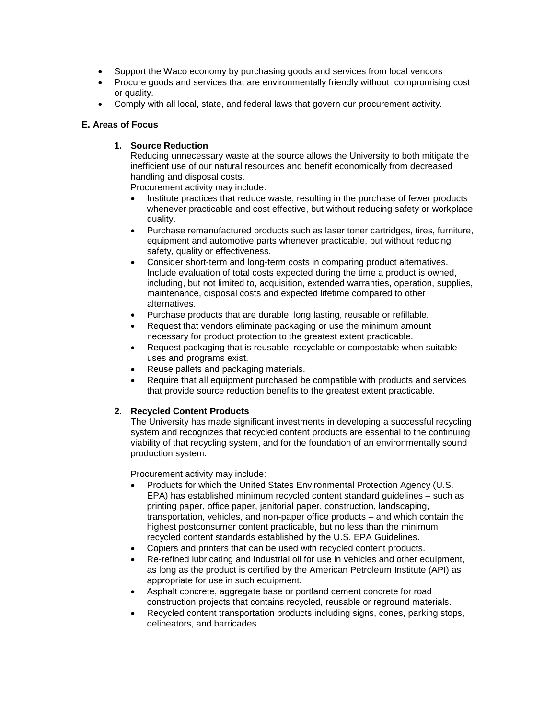- Support the Waco economy by purchasing goods and services from local vendors
- Procure goods and services that are environmentally friendly without compromising cost or quality.
- Comply with all local, state, and federal laws that govern our procurement activity.

# **E. Areas of Focus**

#### **1. Source Reduction**

Reducing unnecessary waste at the source allows the University to both mitigate the inefficient use of our natural resources and benefit economically from decreased handling and disposal costs.

Procurement activity may include:

- Institute practices that reduce waste, resulting in the purchase of fewer products whenever practicable and cost effective, but without reducing safety or workplace quality.
- Purchase remanufactured products such as laser toner cartridges, tires, furniture, equipment and automotive parts whenever practicable, but without reducing safety, quality or effectiveness.
- Consider short-term and long-term costs in comparing product alternatives. Include evaluation of total costs expected during the time a product is owned, including, but not limited to, acquisition, extended warranties, operation, supplies, maintenance, disposal costs and expected lifetime compared to other alternatives.
- Purchase products that are durable, long lasting, reusable or refillable.
- Request that vendors eliminate packaging or use the minimum amount necessary for product protection to the greatest extent practicable.
- Request packaging that is reusable, recyclable or compostable when suitable uses and programs exist.
- Reuse pallets and packaging materials.
- Require that all equipment purchased be compatible with products and services that provide source reduction benefits to the greatest extent practicable.

# **2. Recycled Content Products**

The University has made significant investments in developing a successful recycling system and recognizes that recycled content products are essential to the continuing viability of that recycling system, and for the foundation of an environmentally sound production system.

Procurement activity may include:

- Products for which the United States Environmental Protection Agency (U.S. EPA) has established minimum recycled content standard guidelines – such as printing paper, office paper, janitorial paper, construction, landscaping, transportation, vehicles, and non-paper office products – and which contain the highest postconsumer content practicable, but no less than the minimum recycled content standards established by the U.S. EPA Guidelines.
- Copiers and printers that can be used with recycled content products.
- Re-refined lubricating and industrial oil for use in vehicles and other equipment, as long as the product is certified by the American Petroleum Institute (API) as appropriate for use in such equipment.
- Asphalt concrete, aggregate base or portland cement concrete for road construction projects that contains recycled, reusable or reground materials.
- Recycled content transportation products including signs, cones, parking stops, delineators, and barricades.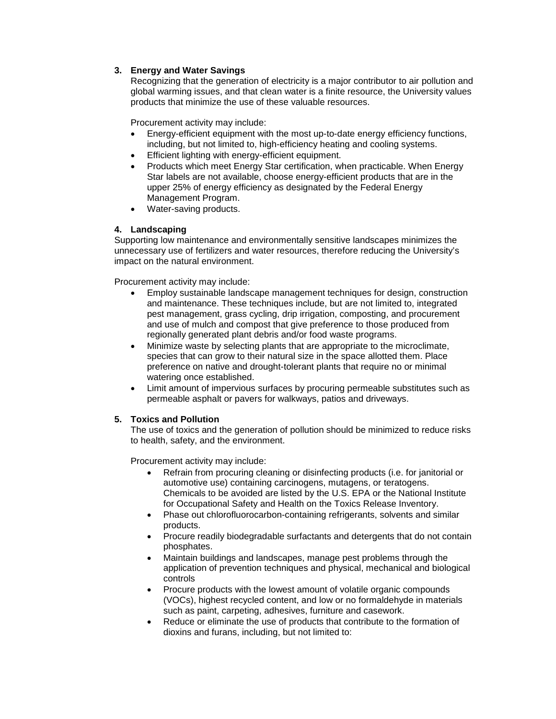# **3. Energy and Water Savings**

Recognizing that the generation of electricity is a major contributor to air pollution and global warming issues, and that clean water is a finite resource, the University values products that minimize the use of these valuable resources.

Procurement activity may include:

- Energy-efficient equipment with the most up-to-date energy efficiency functions, including, but not limited to, high-efficiency heating and cooling systems.
- Efficient lighting with energy-efficient equipment.
- Products which meet Energy Star certification, when practicable. When Energy Star labels are not available, choose energy-efficient products that are in the upper 25% of energy efficiency as designated by the Federal Energy Management Program.
- Water-saving products.

# **4. Landscaping**

Supporting low maintenance and environmentally sensitive landscapes minimizes the unnecessary use of fertilizers and water resources, therefore reducing the University's impact on the natural environment.

Procurement activity may include:

- Employ sustainable landscape management techniques for design, construction and maintenance. These techniques include, but are not limited to, integrated pest management, grass cycling, drip irrigation, composting, and procurement and use of mulch and compost that give preference to those produced from regionally generated plant debris and/or food waste programs.
- Minimize waste by selecting plants that are appropriate to the microclimate, species that can grow to their natural size in the space allotted them. Place preference on native and drought-tolerant plants that require no or minimal watering once established.
- Limit amount of impervious surfaces by procuring permeable substitutes such as permeable asphalt or pavers for walkways, patios and driveways.

# **5. Toxics and Pollution**

The use of toxics and the generation of pollution should be minimized to reduce risks to health, safety, and the environment.

Procurement activity may include:

- Refrain from procuring cleaning or disinfecting products (i.e. for janitorial or automotive use) containing carcinogens, mutagens, or teratogens. Chemicals to be avoided are listed by the U.S. EPA or the National Institute for Occupational Safety and Health on the Toxics Release Inventory.
- Phase out chlorofluorocarbon-containing refrigerants, solvents and similar products.
- Procure readily biodegradable surfactants and detergents that do not contain phosphates.
- Maintain buildings and landscapes, manage pest problems through the application of prevention techniques and physical, mechanical and biological controls
- Procure products with the lowest amount of volatile organic compounds (VOCs), highest recycled content, and low or no formaldehyde in materials such as paint, carpeting, adhesives, furniture and casework.
- Reduce or eliminate the use of products that contribute to the formation of dioxins and furans, including, but not limited to: